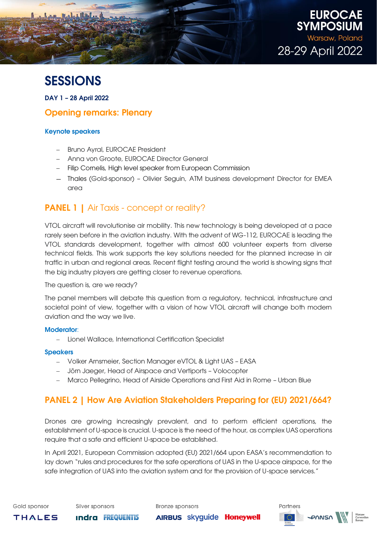

# **SESSIONS**

DAY 1 – 28 April 2022

### Opening remarks: Plenary

### Keynote speakers

- − Bruno Ayral, EUROCAE President
- − Anna von Groote, EUROCAE Director General
- − Filip Cornelis, High level speaker from European Commission
- − Thales (Gold-sponsor) Olivier Seguin, ATM business development Director for EMEA area

## PANEL 1 | Air Taxis - concept or reality?

VTOL aircraft will revolutionise air mobility. This new technology is being developed at a pace rarely seen before in the aviation industry. With the advent of WG-112, EUROCAE is leading the VTOL standards development, together with almost 600 volunteer experts from diverse technical fields. This work supports the key solutions needed for the planned increase in air traffic in urban and regional areas. Recent flight testing around the world is showing signs that the big industry players are getting closer to revenue operations.

The question is, are we ready?

The panel members will debate this question from a regulatory, technical, infrastructure and societal point of view, together with a vision of how VTOL aircraft will change both modern aviation and the way we live.

### Moderator:

− Lionel Wallace, International Certification Specialist

### Speakers

- − Volker Arnsmeier, Section Manager eVTOL & Light UAS EASA
- − Jörn Jaeger, Head of Airspace and Vertiports Volocopter
- − Marco Pellegrino, Head of Airside Operations and First Aid in Rome Urban Blue

# PANEL 2 | How Are Aviation Stakeholders Preparing for (EU) 2021/664?

Drones are growing increasingly prevalent, and to perform efficient operations, the establishment of U-space is crucial. U-space is the need of the hour, as complex UAS operations require that a safe and efficient U-space be established.

In April 2021, European Commission adopted (EU) 2021/664 upon EASA's recommendation to lay down "rules and procedures for the safe operations of UAS in the U-space airspace, for the safe integration of UAS into the aviation system and for the provision of U-space services."

**AIRBUS skyguide Honeywell** 

**THALES** 

**Indra FREQUENTIS**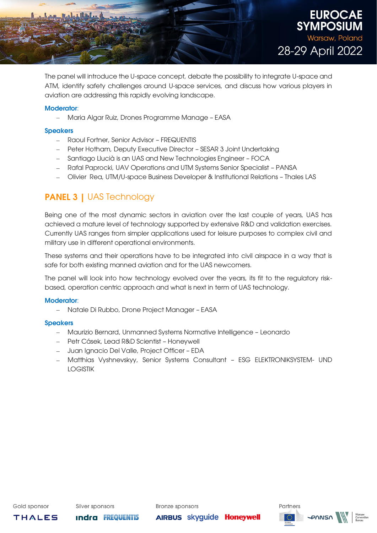

The panel will introduce the U-space concept, debate the possibility to integrate U-space and ATM, identify safety challenges around U-space services, and discuss how various players in aviation are addressing this rapidly evolving landscape.

### Moderator:

− Maria Algar Ruiz, Drones Programme Manage – EASA

### **Speakers**

- − Raoul Fortner, Senior Advisor FREQUENTIS
- − Peter Hotham, Deputy Executive Director SESAR 3 Joint Undertaking
- − Santiago Llucià is an UAS and New Technologies Engineer FOCA
- − Rafal Paprocki, UAV Operations and UTM Systems Senior Specialist PANSA
- − Olivier Rea, UTM/U-space Business Developer & Institutional Relations Thales LAS

# **PANEL 3 | UAS Technology**

Being one of the most dynamic sectors in aviation over the last couple of years, UAS has achieved a mature level of technology supported by extensive R&D and validation exercises. Currently UAS ranges from simpler applications used for leisure purposes to complex civil and military use in different operational environments.

These systems and their operations have to be integrated into civil airspace in a way that is safe for both existing manned aviation and for the UAS newcomers.

The panel will look into how technology evolved over the years, its fit to the regulatory riskbased, operation centric approach and what is next in term of UAS technology.

### Moderator:

− Natale Di Rubbo, Drone Project Manager – EASA

### **Speakers**

- − Maurizio Bernard, Unmanned Systems Normative Intelligence Leonardo
- − Petr Cásek, Lead R&D Scientist Honeywell
- − Juan Ignacio Del Valle, Project Officer EDA
- − Matthias Vyshnevskyy, Senior Systems Consultant ESG ELEKTRONIKSYSTEM- UND LOGISTIK

Gold sponsor

**THALES** 

**Indra FREQUENTIS** 

**Bronze sponsors** 

**AIRBUS skyguide Honeywell** 

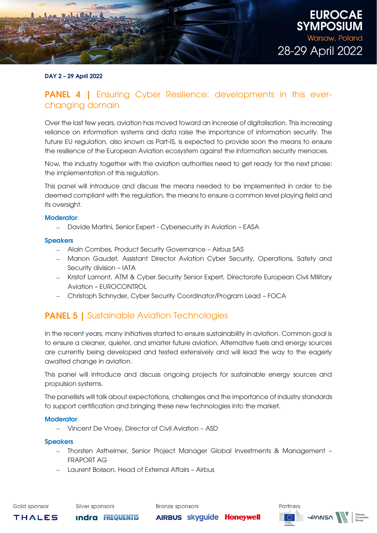

### DAY 2 – 29 April 2022

### **PANEL 4** | Ensuring Cyber Resilience: developments in this everchanging domain

Over the last few years, aviation has moved toward an increase of digitalisation. This increasing reliance on information systems and data raise the importance of information security. The future EU regulation, also known as Part-IS, is expected to provide soon the means to ensure the resilience of the European Aviation ecosystem against the information security menaces.

Now, the industry together with the aviation authorities need to get ready for the next phase: the implementation of this regulation.

This panel will introduce and discuss the means needed to be implemented in order to be deemed compliant with the regulation, the means to ensure a common level playing field and its oversight.

### Moderator:

− Davide Martini, Senior Expert - Cybersecurity in Aviation – EASA

### **Speakers**

- − Alain Combes, Product Security Governance Airbus SAS
- − Manon Gaudet, Assistant Director Aviation Cyber Security, Operations, Safety and Security division – IATA
- − Kristof Lamont, ATM & Cyber Security Senior Expert, Directorate European Civil Military Aviation – EUROCONTROL
- − Christoph Schnyder, Cyber Security Coordinator/Program Lead FOCA

### **PANEL 5 | Sustainable Aviation Technologies**

In the recent years, many initiatives started to ensure sustainability in aviation. Common goal is to ensure a cleaner, quieter, and smarter future aviation. Alternative fuels and energy sources are currently being developed and tested extensively and will lead the way to the eagerly awaited change in aviation.

This panel will introduce and discuss ongoing projects for sustainable energy sources and propulsion systems.

The panellists will talk about expectations, challenges and the importance of industry standards to support certification and bringing these new technologies into the market.

### Moderator:

− Vincent De Vroey, Director of Civil Aviation – ASD

#### Speakers

− Thorsten Astheimer, Senior Project Manager Global Investments & Management – FRAPORT AG

**AIRBUS skyguide Honeywell** 

− Laurent Boisson, Head of External Affairs – Airbus

Gold sponsor

**THALES** 

**Indra FREQUENTIS** 

**Bronze sponsors** 

Partners **PANSA**